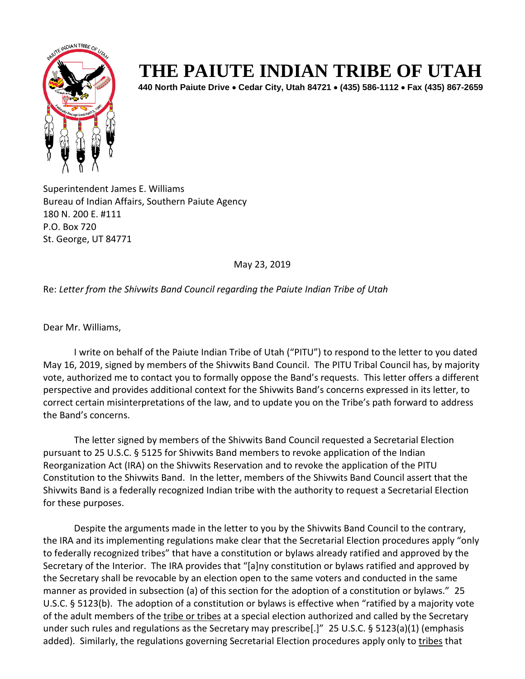

## **THE PAIUTE INDIAN TRIBE OF UTAH**

**440 North Paiute Drive** • **Cedar City, Utah 84721** • **(435) 586-1112** • **Fax (435) 867-2659** 

Superintendent James E. Williams Bureau of Indian Affairs, Southern Paiute Agency 180 N. 200 E. #111 P.O. Box 720 St. George, UT 84771

May 23, 2019

Re: *Letter from the Shivwits Band Council regarding the Paiute Indian Tribe of Utah*

Dear Mr. Williams,

I write on behalf of the Paiute Indian Tribe of Utah ("PITU") to respond to the letter to you dated May 16, 2019, signed by members of the Shivwits Band Council. The PITU Tribal Council has, by majority vote, authorized me to contact you to formally oppose the Band's requests. This letter offers a different perspective and provides additional context for the Shivwits Band's concerns expressed in its letter, to correct certain misinterpretations of the law, and to update you on the Tribe's path forward to address the Band's concerns.

The letter signed by members of the Shivwits Band Council requested a Secretarial Election pursuant to 25 U.S.C. § 5125 for Shivwits Band members to revoke application of the Indian Reorganization Act (IRA) on the Shivwits Reservation and to revoke the application of the PITU Constitution to the Shivwits Band. In the letter, members of the Shivwits Band Council assert that the Shivwits Band is a federally recognized Indian tribe with the authority to request a Secretarial Election for these purposes.

Despite the arguments made in the letter to you by the Shivwits Band Council to the contrary, the IRA and its implementing regulations make clear that the Secretarial Election procedures apply "only to federally recognized tribes" that have a constitution or bylaws already ratified and approved by the Secretary of the Interior. The IRA provides that "[a]ny constitution or bylaws ratified and approved by the Secretary shall be revocable by an election open to the same voters and conducted in the same manner as provided in subsection (a) of this section for the adoption of a constitution or bylaws." 25 U.S.C. § 5123(b). The adoption of a constitution or bylaws is effective when "ratified by a majority vote of the adult members of the tribe or tribes at a special election authorized and called by the Secretary under such rules and regulations as the Secretary may prescribe[.]" 25 U.S.C. § 5123(a)(1) (emphasis added). Similarly, the regulations governing Secretarial Election procedures apply only to tribes that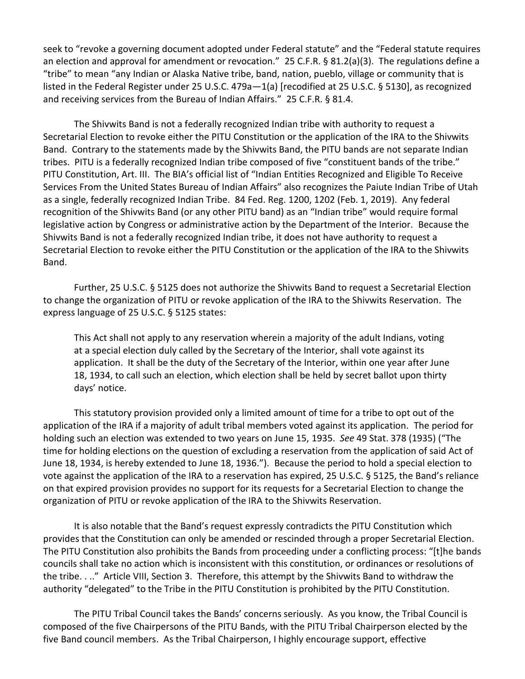seek to "revoke a governing document adopted under Federal statute" and the "Federal statute requires an election and approval for amendment or revocation." 25 C.F.R. § 81.2(a)(3). The regulations define a "tribe" to mean "any Indian or Alaska Native tribe, band, nation, pueblo, village or community that is listed in the Federal Register under 25 U.S.C. 479a—1(a) [recodified at 25 U.S.C. § 5130], as recognized and receiving services from the Bureau of Indian Affairs." 25 C.F.R. § 81.4.

The Shivwits Band is not a federally recognized Indian tribe with authority to request a Secretarial Election to revoke either the PITU Constitution or the application of the IRA to the Shivwits Band. Contrary to the statements made by the Shivwits Band, the PITU bands are not separate Indian tribes. PITU is a federally recognized Indian tribe composed of five "constituent bands of the tribe." PITU Constitution, Art. III. The BIA's official list of "Indian Entities Recognized and Eligible To Receive Services From the United States Bureau of Indian Affairs" also recognizes the Paiute Indian Tribe of Utah as a single, federally recognized Indian Tribe. 84 Fed. Reg. 1200, 1202 (Feb. 1, 2019). Any federal recognition of the Shivwits Band (or any other PITU band) as an "Indian tribe" would require formal legislative action by Congress or administrative action by the Department of the Interior. Because the Shivwits Band is not a federally recognized Indian tribe, it does not have authority to request a Secretarial Election to revoke either the PITU Constitution or the application of the IRA to the Shivwits Band.

Further, 25 U.S.C. § 5125 does not authorize the Shivwits Band to request a Secretarial Election to change the organization of PITU or revoke application of the IRA to the Shivwits Reservation. The express language of 25 U.S.C. § 5125 states:

This Act shall not apply to any reservation wherein a majority of the adult Indians, voting at a special election duly called by the Secretary of the Interior, shall vote against its application. It shall be the duty of the Secretary of the Interior, within one year after June 18, 1934, to call such an election, which election shall be held by secret ballot upon thirty days' notice.

This statutory provision provided only a limited amount of time for a tribe to opt out of the application of the IRA if a majority of adult tribal members voted against its application. The period for holding such an election was extended to two years on June 15, 1935. *See* 49 Stat. 378 (1935) ("The time for holding elections on the question of excluding a reservation from the application of said Act of June 18, 1934, is hereby extended to June 18, 1936."). Because the period to hold a special election to vote against the application of the IRA to a reservation has expired, 25 U.S.C. § 5125, the Band's reliance on that expired provision provides no support for its requests for a Secretarial Election to change the organization of PITU or revoke application of the IRA to the Shivwits Reservation.

It is also notable that the Band's request expressly contradicts the PITU Constitution which provides that the Constitution can only be amended or rescinded through a proper Secretarial Election. The PITU Constitution also prohibits the Bands from proceeding under a conflicting process: "[t]he bands councils shall take no action which is inconsistent with this constitution, or ordinances or resolutions of the tribe. . .." Article VIII, Section 3. Therefore, this attempt by the Shivwits Band to withdraw the authority "delegated" to the Tribe in the PITU Constitution is prohibited by the PITU Constitution.

The PITU Tribal Council takes the Bands' concerns seriously. As you know, the Tribal Council is composed of the five Chairpersons of the PITU Bands, with the PITU Tribal Chairperson elected by the five Band council members. As the Tribal Chairperson, I highly encourage support, effective